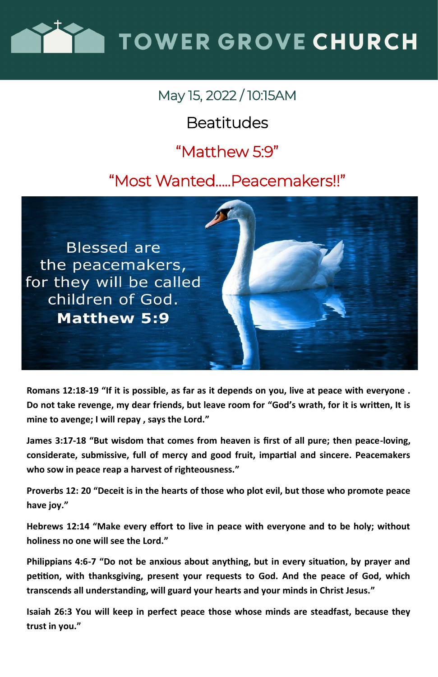# **TOWER GROVE CHURCH**

#### May 15, 2022 / 10:15AM

**Beatitudes** 

## "Matthew 5:9"

### "Most Wanted…..Peacemakers!!"

**Blessed are** the peacemakers, for they will be called children of God. **Matthew 5:9** 

**Romans 12:18-19 "If it is possible, as far as it depends on you, live at peace with everyone . Do not take revenge, my dear friends, but leave room for "God's wrath, for it is written, It is mine to avenge; I will repay , says the Lord."**

**James 3:17-18 "But wisdom that comes from heaven is first of all pure; then peace-loving, considerate, submissive, full of mercy and good fruit, impartial and sincere. Peacemakers who sow in peace reap a harvest of righteousness."**

**Proverbs 12: 20 "Deceit is in the hearts of those who plot evil, but those who promote peace have joy."**

**Hebrews 12:14 "Make every effort to live in peace with everyone and to be holy; without holiness no one will see the Lord."**

**Philippians 4:6-7 "Do not be anxious about anything, but in every situation, by prayer and petition, with thanksgiving, present your requests to God. And the peace of God, which transcends all understanding, will guard your hearts and your minds in Christ Jesus."**

**Isaiah 26:3 You will keep in perfect peace those whose minds are steadfast, because they trust in you."**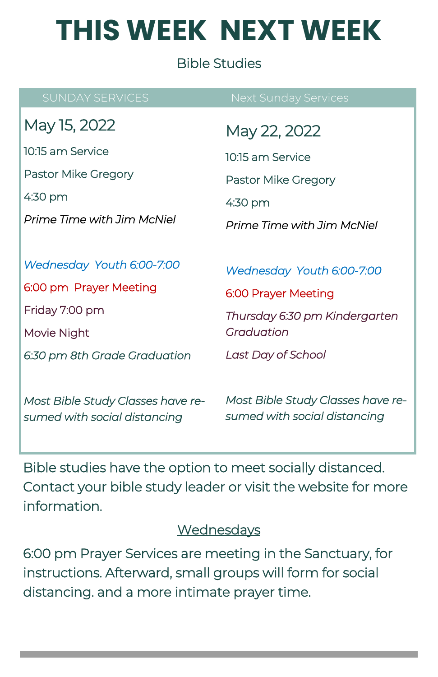# **THIS WEEK NEXT WEEK**

#### Bible Studies

| <b>SUNDAY SERVICES</b>                                            | <b>Next Sunday Services</b>                                       |
|-------------------------------------------------------------------|-------------------------------------------------------------------|
| May 15, 2022                                                      | May 22, 2022                                                      |
| 10:15 am Service                                                  | 10:15 am Service                                                  |
| Pastor Mike Gregory                                               | Pastor Mike Gregory                                               |
| 4:30 pm                                                           | 4:30 pm                                                           |
| Prime Time with Jim McNiel                                        | Prime Time with Jim McNiel                                        |
|                                                                   |                                                                   |
| Wednesday Youth 6:00-7:00                                         | Wednesday Youth 6:00-7:00                                         |
| 6:00 pm Prayer Meeting                                            | 6:00 Prayer Meeting                                               |
| Friday 7:00 pm                                                    | Thursday 6:30 pm Kindergarten                                     |
| Movie Night                                                       | Graduation                                                        |
| 6:30 pm 8th Grade Graduation                                      | Last Day of School                                                |
|                                                                   |                                                                   |
| Most Bible Study Classes have re-<br>sumed with social distancing | Most Bible Study Classes have re-<br>sumed with social distancing |

Bible studies have the option to meet socially distanced. Contact your bible study leader or visit the website for more information.

#### **Wednesdays**

6:00 pm Prayer Services are meeting in the Sanctuary, for instructions. Afterward, small groups will form for social distancing. and a more intimate prayer time.